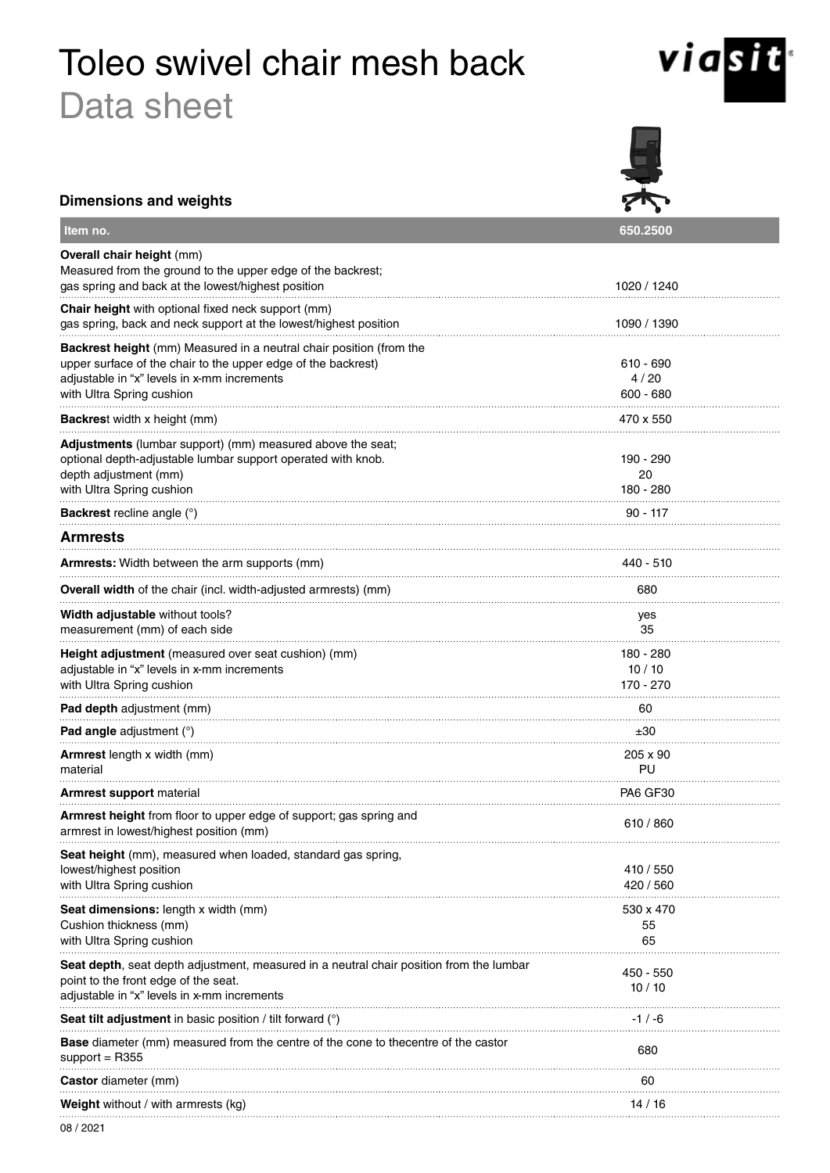# Toleo swivel chair mesh back Data sheet



| <b>Dimensions and weights</b>                                                                                                                                                                                           |                                  |  |
|-------------------------------------------------------------------------------------------------------------------------------------------------------------------------------------------------------------------------|----------------------------------|--|
| Item no.                                                                                                                                                                                                                | 650.2500                         |  |
| Overall chair height (mm)<br>Measured from the ground to the upper edge of the backrest;<br>gas spring and back at the lowest/highest position                                                                          | 1020 / 1240                      |  |
| Chair height with optional fixed neck support (mm)<br>gas spring, back and neck support at the lowest/highest position                                                                                                  | 1090 / 1390                      |  |
| <b>Backrest height</b> (mm) Measured in a neutral chair position (from the<br>upper surface of the chair to the upper edge of the backrest)<br>adjustable in "x" levels in x-mm increments<br>with Ultra Spring cushion | 610 - 690<br>4/20<br>$600 - 680$ |  |
| Backrest width x height (mm)                                                                                                                                                                                            | 470 x 550                        |  |
| Adjustments (lumbar support) (mm) measured above the seat;<br>optional depth-adjustable lumbar support operated with knob.<br>depth adjustment (mm)<br>with Ultra Spring cushion                                        | 190 - 290<br>20<br>180 - 280     |  |
| <b>Backrest</b> recline angle $(°)$                                                                                                                                                                                     | $90 - 117$                       |  |
| <b>Armrests</b>                                                                                                                                                                                                         |                                  |  |
| <b>Armrests:</b> Width between the arm supports (mm)                                                                                                                                                                    | 440 - 510                        |  |
| <b>Overall width</b> of the chair (incl. width-adjusted armrests) (mm)                                                                                                                                                  | 680                              |  |
| Width adjustable without tools?<br>measurement (mm) of each side                                                                                                                                                        | yes<br>35                        |  |
| Height adjustment (measured over seat cushion) (mm)<br>adjustable in "x" levels in x-mm increments<br>with Ultra Spring cushion                                                                                         | 180 - 280<br>10/10<br>170 - 270  |  |
| Pad depth adjustment (mm)                                                                                                                                                                                               | 60                               |  |
| <b>Pad angle</b> adjustment $(°)$                                                                                                                                                                                       | ±30                              |  |
| Armrest length x width (mm)<br>material                                                                                                                                                                                 | 205 x 90<br>PU                   |  |
| <b>Armrest support</b> material                                                                                                                                                                                         | PA6 GF30                         |  |
| Armrest height from floor to upper edge of support; gas spring and<br>armrest in lowest/highest position (mm)                                                                                                           | 610 / 860                        |  |
| Seat height (mm), measured when loaded, standard gas spring,<br>lowest/highest position<br>with Ultra Spring cushion                                                                                                    | 410 / 550<br>420 / 560           |  |
| Seat dimensions: length x width (mm)<br>Cushion thickness (mm)<br>with Ultra Spring cushion                                                                                                                             | 530 x 470<br>55<br>65            |  |
| Seat depth, seat depth adjustment, measured in a neutral chair position from the lumbar<br>point to the front edge of the seat.<br>adjustable in "x" levels in x-mm increments                                          | 450 - 550<br>10/10               |  |
| Seat tilt adjustment in basic position / tilt forward (°)                                                                                                                                                               | -1 / -6                          |  |
| <b>Base</b> diameter (mm) measured from the centre of the cone to thecentre of the castor<br>$support = R355$                                                                                                           | 680                              |  |
| <b>Castor</b> diameter (mm)                                                                                                                                                                                             | 60                               |  |
| <b>Weight</b> without / with armrests (kg)                                                                                                                                                                              | 14/16                            |  |
|                                                                                                                                                                                                                         |                                  |  |